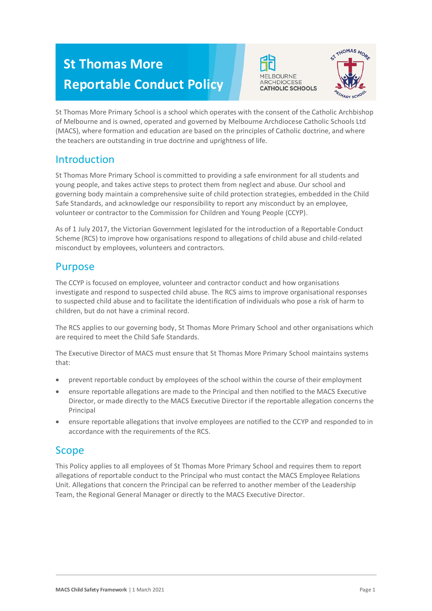# **St Thomas More Reportable Conduct Policy**





St Thomas More Primary School is a school which operates with the consent of the Catholic Archbishop of Melbourne and is owned, operated and governed by Melbourne Archdiocese Catholic Schools Ltd (MACS), where formation and education are based on the principles of Catholic doctrine, and where the teachers are outstanding in true doctrine and uprightness of life.

## Introduction

St Thomas More Primary School is committed to providing a safe environment for all students and young people, and takes active steps to protect them from neglect and abuse. Our school and governing body maintain a comprehensive suite of child protection strategies, embedded in the Child Safe Standards, and acknowledge our responsibility to report any misconduct by an employee, volunteer or contractor to the Commission for Children and Young People (CCYP).

As of 1 July 2017, the Victorian Government legislated for the introduction of a Reportable Conduct Scheme (RCS) to improve how organisations respond to allegations of child abuse and child-related misconduct by employees, volunteers and contractors.

## Purpose

The CCYP is focused on employee, volunteer and contractor conduct and how organisations investigate and respond to suspected child abuse. The RCS aims to improve organisational responses to suspected child abuse and to facilitate the identification of individuals who pose a risk of harm to children, but do not have a criminal record.

The RCS applies to our governing body, St Thomas More Primary School and other organisations which are required to meet the Child Safe Standards.

The Executive Director of MACS must ensure that St Thomas More Primary School maintains systems that:

- prevent reportable conduct by employees of the school within the course of their employment
- ensure reportable allegations are made to the Principal and then notified to the MACS Executive Director, or made directly to the MACS Executive Director if the reportable allegation concerns the Principal
- ensure reportable allegations that involve employees are notified to the CCYP and responded to in accordance with the requirements of the RCS.

## Scope

This Policy applies to all employees of St Thomas More Primary School and requires them to report allegations of reportable conduct to the Principal who must contact the MACS Employee Relations Unit. Allegations that concern the Principal can be referred to another member of the Leadership Team, the Regional General Manager or directly to the MACS Executive Director.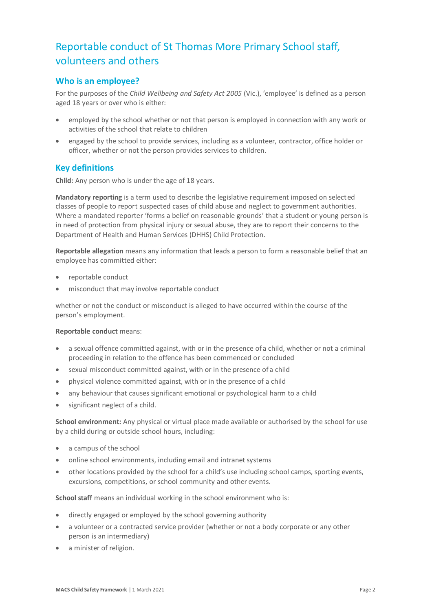## Reportable conduct of St Thomas More Primary School staff, volunteers and others

## **Who is an employee?**

For the purposes of the *Child Wellbeing and Safety Act 2005* (Vic.), 'employee' is defined as a person aged 18 years or over who is either:

- employed by the school whether or not that person is employed in connection with any work or activities of the school that relate to children
- engaged by the school to provide services, including as a volunteer, contractor, office holder or officer, whether or not the person provides services to children.

## **Key definitions**

**Child:** Any person who is under the age of 18 years.

**Mandatory reporting** is a term used to describe the legislative requirement imposed on selected classes of people to report suspected cases of child abuse and neglect to government authorities. Where a mandated reporter 'forms a belief on reasonable grounds' that a student or young person is in need of protection from physical injury or sexual abuse, they are to report their concerns to the Department of Health and Human Services (DHHS) Child Protection.

**Reportable allegation** means any information that leads a person to form a reasonable belief that an employee has committed either:

- reportable conduct
- misconduct that may involve reportable conduct

whether or not the conduct or misconduct is alleged to have occurred within the course of the person's employment.

#### **Reportable conduct** means:

- a sexual offence committed against, with or in the presence of a child, whether or not a criminal proceeding in relation to the offence has been commenced or concluded
- sexual misconduct committed against, with or in the presence of a child
- physical violence committed against, with or in the presence of a child
- any behaviour that causes significant emotional or psychological harm to a child
- significant neglect of a child.

**School environment:** Any physical or virtual place made available or authorised by the school for use by a child during or outside school hours, including:

- a campus of the school
- online school environments, including email and intranet systems
- other locations provided by the school for a child's use including school camps, sporting events, excursions, competitions, or school community and other events.

**School staff** means an individual working in the school environment who is:

- directly engaged or employed by the school governing authority
- a volunteer or a contracted service provider (whether or not a body corporate or any other person is an intermediary)
- a minister of religion.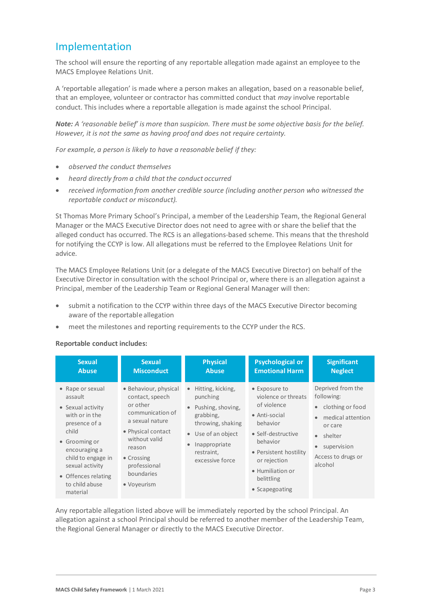## Implementation

The school will ensure the reporting of any reportable allegation made against an employee to the MACS Employee Relations Unit.

A 'reportable allegation' is made where a person makes an allegation, based on a reasonable belief, that an employee, volunteer or contractor has committed conduct that *may* involve reportable conduct. This includes where a reportable allegation is made against the school Principal.

*Note: A 'reasonable belief' is more than suspicion. There must be some objective basis for the belief. However, it is not the same as having proof and does not require certainty.*

*For example, a person is likely to have a reasonable belief if they:*

- *observed the conduct themselves*
- *heard directly from a child that the conduct occurred*
- *received information from another credible source (including another person who witnessed the reportable conduct or misconduct).*

St Thomas More Primary School's Principal, a member of the Leadership Team, the Regional General Manager or the MACS Executive Director does not need to agree with or share the belief that the alleged conduct has occurred. The RCS is an allegations-based scheme. This means that the threshold for notifying the CCYP is low. All allegations must be referred to the Employee Relations Unit for advice.

The MACS Employee Relations Unit (or a delegate of the MACS Executive Director) on behalf of the Executive Director in consultation with the school Principal or, where there is an allegation against a Principal, member of the Leadership Team or Regional General Manager will then:

- submit a notification to the CCYP within three days of the MACS Executive Director becoming aware of the reportable allegation
- meet the milestones and reporting requirements to the CCYP under the RCS.

#### **Reportable conduct includes:**

| <b>Sexual</b>                                                                                                                                                                                                                | <b>Sexual</b>                                                                                                                                                                                           | <b>Physical</b>                                                                                                                                                         | <b>Psychological or</b>                                                                                                                                                                                          | <b>Significant</b>                                                                                                                                                                      |
|------------------------------------------------------------------------------------------------------------------------------------------------------------------------------------------------------------------------------|---------------------------------------------------------------------------------------------------------------------------------------------------------------------------------------------------------|-------------------------------------------------------------------------------------------------------------------------------------------------------------------------|------------------------------------------------------------------------------------------------------------------------------------------------------------------------------------------------------------------|-----------------------------------------------------------------------------------------------------------------------------------------------------------------------------------------|
| <b>Abuse</b>                                                                                                                                                                                                                 | <b>Misconduct</b>                                                                                                                                                                                       | <b>Abuse</b>                                                                                                                                                            | <b>Emotional Harm</b>                                                                                                                                                                                            | <b>Neglect</b>                                                                                                                                                                          |
| • Rape or sexual<br>assault<br>• Sexual activity<br>with or in the<br>presence of a<br>child<br>• Grooming or<br>encouraging a<br>child to engage in<br>sexual activity<br>• Offences relating<br>to child abuse<br>material | • Behaviour, physical<br>contact, speech<br>or other<br>communication of<br>a sexual nature<br>• Physical contact<br>without valid<br>reason<br>• Crossing<br>professional<br>boundaries<br>• Voyeurism | Hitting, kicking,<br>punching<br>Pushing, shoving,<br>grabbing,<br>throwing, shaking<br>Use of an object<br>$\bullet$<br>Inappropriate<br>restraint,<br>excessive force | • Exposure to<br>violence or threats<br>of violence<br>• Anti-social<br>behavior<br>• Self-destructive<br>behavior<br>• Persistent hostility<br>or rejection<br>• Humiliation or<br>belittling<br>• Scapegoating | Deprived from the<br>following:<br>clothing or food<br>$\bullet$<br>medical attention<br>$\bullet$<br>or care<br>• shelter<br>supervision<br>$\bullet$<br>Access to drugs or<br>alcohol |

Any reportable allegation listed above will be immediately reported by the school Principal. An allegation against a school Principal should be referred to another member of the Leadership Team, the Regional General Manager or directly to the MACS Executive Director.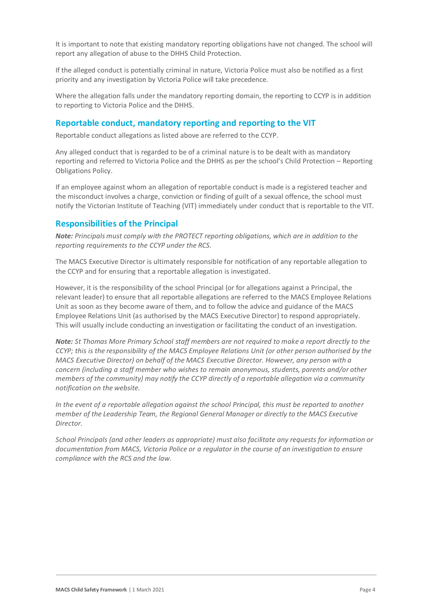It is important to note that existing mandatory reporting obligations have not changed. The school will report any allegation of abuse to the DHHS Child Protection.

If the alleged conduct is potentially criminal in nature, Victoria Police must also be notified as a first priority and any investigation by Victoria Police will take precedence.

Where the allegation falls under the mandatory reporting domain, the reporting to CCYP is in addition to reporting to Victoria Police and the DHHS.

## **Reportable conduct, mandatory reporting and reporting to the VIT**

Reportable conduct allegations as listed above are referred to the CCYP.

Any alleged conduct that is regarded to be of a criminal nature is to be dealt with as mandatory reporting and referred to Victoria Police and the DHHS as per the school's Child Protection – Reporting Obligations Policy.

If an employee against whom an allegation of reportable conduct is made is a registered teacher and the misconduct involves a charge, conviction or finding of guilt of a sexual offence, the school must notify the Victorian Institute of Teaching (VIT) immediately under conduct that is reportable to the VIT.

## **Responsibilities of the Principal**

*Note: Principals must comply with the PROTECT reporting obligations, which are in addition to the reporting requirements to the CCYP under the RCS.*

The MACS Executive Director is ultimately responsible for notification of any reportable allegation to the CCYP and for ensuring that a reportable allegation is investigated.

However, it is the responsibility of the school Principal (or for allegations against a Principal, the relevant leader) to ensure that all reportable allegations are referred to the MACS Employee Relations Unit as soon as they become aware of them, and to follow the advice and guidance of the MACS Employee Relations Unit (as authorised by the MACS Executive Director) to respond appropriately. This will usually include conducting an investigation or facilitating the conduct of an investigation.

*Note: St Thomas More Primary School staff members are not required to make a report directly to the CCYP; this is the responsibility of the MACS Employee Relations Unit (or other person authorised by the MACS Executive Director) on behalf of the MACS Executive Director. However, any person with a concern (including a staff member who wishes to remain anonymous, students, parents and/or other members of the community) may notify the CCYP directly of a reportable allegation via a community notification on the website.*

*In the event of a reportable allegation against the school Principal, this must be reported to another member of the Leadership Team, the Regional General Manager or directly to the MACS Executive Director.*

*School Principals (and other leaders as appropriate) must also facilitate any requests for information or documentation from MACS, Victoria Police or a regulator in the course of an investigation to ensure compliance with the RCS and the law.*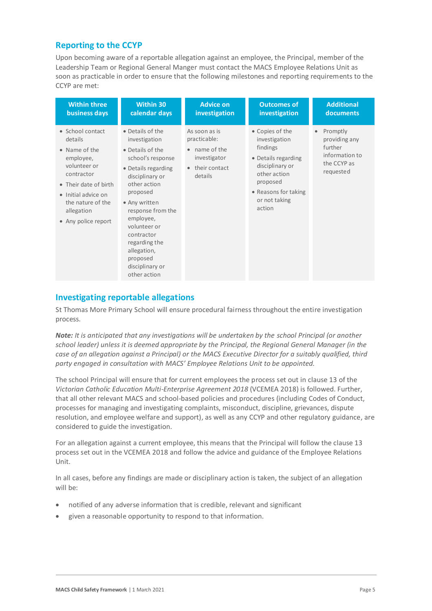## **Reporting to the CCYP**

Upon becoming aware of a reportable allegation against an employee, the Principal, member of the Leadership Team or Regional General Manger must contact the MACS Employee Relations Unit as soon as practicable in order to ensure that the following milestones and reporting requirements to the CCYP are met:

| <b>Within three</b>                                                                                                                                                                               | <b>Within 30</b>                                                                                                                                                                                                                                                                                                 | <b>Advice on</b>                                                                           | <b>Outcomes of</b>                                                                                                                                                    | <b>Additional</b>                                                                               |
|---------------------------------------------------------------------------------------------------------------------------------------------------------------------------------------------------|------------------------------------------------------------------------------------------------------------------------------------------------------------------------------------------------------------------------------------------------------------------------------------------------------------------|--------------------------------------------------------------------------------------------|-----------------------------------------------------------------------------------------------------------------------------------------------------------------------|-------------------------------------------------------------------------------------------------|
| business days                                                                                                                                                                                     | calendar days                                                                                                                                                                                                                                                                                                    | investigation                                                                              | investigation                                                                                                                                                         | documents                                                                                       |
| • School contact<br>details<br>• Name of the<br>employee,<br>volunteer or<br>contractor<br>• Their date of birth<br>• Initial advice on<br>the nature of the<br>allegation<br>• Any police report | • Details of the<br>investigation<br>• Details of the<br>school's response<br>• Details regarding<br>disciplinary or<br>other action<br>proposed<br>• Any written<br>response from the<br>employee,<br>volunteer or<br>contractor<br>regarding the<br>allegation,<br>proposed<br>disciplinary or<br>other action | As soon as is<br>practicable:<br>• name of the<br>investigator<br>their contact<br>details | • Copies of the<br>investigation<br>findings<br>• Details regarding<br>disciplinary or<br>other action<br>proposed<br>• Reasons for taking<br>or not taking<br>action | Promptly<br>$\bullet$<br>providing any<br>further<br>information to<br>the CCYP as<br>requested |

## **Investigating reportable allegations**

St Thomas More Primary School will ensure procedural fairness throughout the entire investigation process.

*Note: It is anticipated that any investigations will be undertaken by the school Principal (or another school leader) unless it is deemed appropriate by the Principal, the Regional General Manager (in the case of an allegation against a Principal) or the MACS Executive Director for a suitably qualified, third party engaged in consultation with MACS' Employee Relations Unit to be appointed.*

The school Principal will ensure that for current employees the process set out in clause 13 of the *Victorian Catholic Education Multi-Enterprise Agreement 2018* (VCEMEA 2018) is followed. Further, that all other relevant MACS and school-based policies and procedures (including Codes of Conduct, processes for managing and investigating complaints, misconduct, discipline, grievances, dispute resolution, and employee welfare and support), as well as any CCYP and other regulatory guidance, are considered to guide the investigation.

For an allegation against a current employee, this means that the Principal will follow the clause 13 process set out in the VCEMEA 2018 and follow the advice and guidance of the Employee Relations Unit.

In all cases, before any findings are made or disciplinary action is taken, the subject of an allegation will be:

- notified of any adverse information that is credible, relevant and significant
- given a reasonable opportunity to respond to that information.